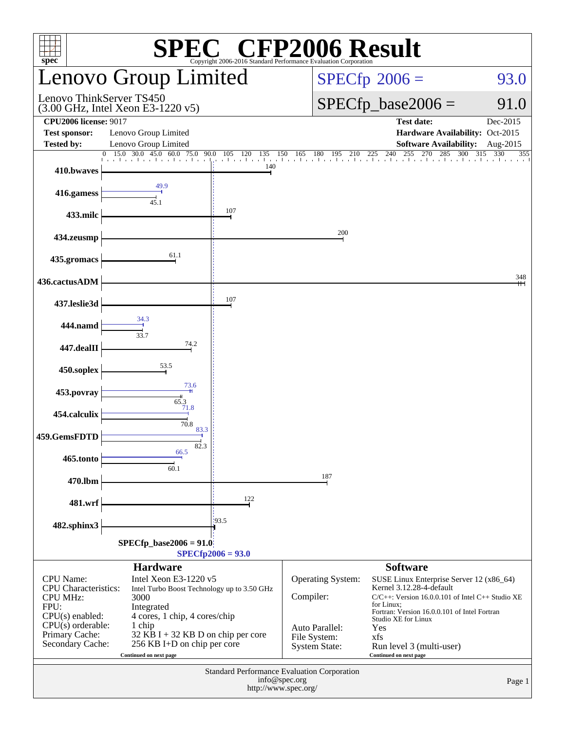| <b>C® CFP2006 Result</b><br>spec<br>Copyright 2006-2016 Standard Performance Evaluation Corporation                                                                                                                                                                                                                                                                                                              |                                                 |                                 |                                                                                                 |                                                                                                                                                                                                                                                                                                           |                      |  |  |
|------------------------------------------------------------------------------------------------------------------------------------------------------------------------------------------------------------------------------------------------------------------------------------------------------------------------------------------------------------------------------------------------------------------|-------------------------------------------------|---------------------------------|-------------------------------------------------------------------------------------------------|-----------------------------------------------------------------------------------------------------------------------------------------------------------------------------------------------------------------------------------------------------------------------------------------------------------|----------------------|--|--|
|                                                                                                                                                                                                                                                                                                                                                                                                                  | <b>Lenovo Group Limited</b>                     |                                 | $SPECfp^{\circ}2006 =$<br>93.0                                                                  |                                                                                                                                                                                                                                                                                                           |                      |  |  |
| Lenovo ThinkServer TS450<br>$(3.00 \text{ GHz}, \text{Intel Xeon E}3-1220 \text{ v}5)$                                                                                                                                                                                                                                                                                                                           |                                                 |                                 |                                                                                                 | $SPECfp\_base2006 =$<br>91.0                                                                                                                                                                                                                                                                              |                      |  |  |
| <b>CPU2006 license: 9017</b><br><b>Test sponsor:</b><br><b>Tested by:</b>                                                                                                                                                                                                                                                                                                                                        | Lenovo Group Limited<br>Lenovo Group Limited    |                                 |                                                                                                 | <b>Test date:</b><br>Hardware Availability: Oct-2015<br><b>Software Availability:</b>                                                                                                                                                                                                                     | Dec-2015<br>Aug-2015 |  |  |
| 410.bwaves                                                                                                                                                                                                                                                                                                                                                                                                       | 15.0 30.0 45.0 60.0<br>75.0<br>$\Omega$<br>90.0 | 120<br>105<br>135<br>150<br>140 | 180<br>165<br>195<br>210                                                                        | 240<br>270<br>225<br>255<br>285<br>300                                                                                                                                                                                                                                                                    | 315<br>355<br>330    |  |  |
| 416.gamess                                                                                                                                                                                                                                                                                                                                                                                                       | 45.1                                            |                                 |                                                                                                 |                                                                                                                                                                                                                                                                                                           |                      |  |  |
| 433.milc                                                                                                                                                                                                                                                                                                                                                                                                         |                                                 | 107                             |                                                                                                 |                                                                                                                                                                                                                                                                                                           |                      |  |  |
| 434.zeusmp                                                                                                                                                                                                                                                                                                                                                                                                       |                                                 |                                 | 200                                                                                             |                                                                                                                                                                                                                                                                                                           |                      |  |  |
| 435.gromacs                                                                                                                                                                                                                                                                                                                                                                                                      | 61.1                                            |                                 |                                                                                                 |                                                                                                                                                                                                                                                                                                           |                      |  |  |
| 436.cactusADM                                                                                                                                                                                                                                                                                                                                                                                                    |                                                 |                                 |                                                                                                 |                                                                                                                                                                                                                                                                                                           | 348                  |  |  |
| 437.leslie3d                                                                                                                                                                                                                                                                                                                                                                                                     |                                                 | 107                             |                                                                                                 |                                                                                                                                                                                                                                                                                                           |                      |  |  |
| 444.namd                                                                                                                                                                                                                                                                                                                                                                                                         | 34.3<br>33.7                                    |                                 |                                                                                                 |                                                                                                                                                                                                                                                                                                           |                      |  |  |
| 447.dealII                                                                                                                                                                                                                                                                                                                                                                                                       | 74.2                                            |                                 |                                                                                                 |                                                                                                                                                                                                                                                                                                           |                      |  |  |
| 450.soplex                                                                                                                                                                                                                                                                                                                                                                                                       | 53.5                                            |                                 |                                                                                                 |                                                                                                                                                                                                                                                                                                           |                      |  |  |
| 453.povray                                                                                                                                                                                                                                                                                                                                                                                                       | 73.6<br>65.3                                    |                                 |                                                                                                 |                                                                                                                                                                                                                                                                                                           |                      |  |  |
| 454.calculix                                                                                                                                                                                                                                                                                                                                                                                                     | 71.8<br>70.8                                    |                                 |                                                                                                 |                                                                                                                                                                                                                                                                                                           |                      |  |  |
| 459.GemsFDTD                                                                                                                                                                                                                                                                                                                                                                                                     | 83.3<br>82.3                                    |                                 |                                                                                                 |                                                                                                                                                                                                                                                                                                           |                      |  |  |
| 465.tonto                                                                                                                                                                                                                                                                                                                                                                                                        | 66.5<br>60.1                                    |                                 |                                                                                                 |                                                                                                                                                                                                                                                                                                           |                      |  |  |
| 470.lbm                                                                                                                                                                                                                                                                                                                                                                                                          |                                                 |                                 | 187                                                                                             |                                                                                                                                                                                                                                                                                                           |                      |  |  |
| 481.wrf                                                                                                                                                                                                                                                                                                                                                                                                          |                                                 | 122                             |                                                                                                 |                                                                                                                                                                                                                                                                                                           |                      |  |  |
| 482.sphinx3                                                                                                                                                                                                                                                                                                                                                                                                      |                                                 | 193.5                           |                                                                                                 |                                                                                                                                                                                                                                                                                                           |                      |  |  |
| $SPECfp\_base2006 = 91.0$<br>$SPECfp2006 = 93.0$                                                                                                                                                                                                                                                                                                                                                                 |                                                 |                                 |                                                                                                 |                                                                                                                                                                                                                                                                                                           |                      |  |  |
| <b>Hardware</b><br><b>CPU</b> Name:<br>Intel Xeon E3-1220 v5<br>CPU Characteristics:<br>Intel Turbo Boost Technology up to 3.50 GHz<br><b>CPU MHz:</b><br>3000<br>FPU:<br>Integrated<br>$CPU(s)$ enabled:<br>4 cores, 1 chip, 4 cores/chip<br>CPU(s) orderable:<br>1 chip<br>Primary Cache:<br>$32$ KB I + 32 KB D on chip per core<br>Secondary Cache:<br>256 KB I+D on chip per core<br>Continued on next page |                                                 |                                 | <b>Operating System:</b><br>Compiler:<br>Auto Parallel:<br>File System:<br><b>System State:</b> | <b>Software</b><br>SUSE Linux Enterprise Server 12 (x86_64)<br>Kernel 3.12.28-4-default<br>$C/C++$ : Version 16.0.0.101 of Intel $C++$ Studio XE<br>for Linux;<br>Fortran: Version 16.0.0.101 of Intel Fortran<br>Studio XE for Linux<br>Yes<br>xfs<br>Run level 3 (multi-user)<br>Continued on next page |                      |  |  |
| Standard Performance Evaluation Corporation<br>info@spec.org<br>http://www.spec.org/                                                                                                                                                                                                                                                                                                                             |                                                 |                                 |                                                                                                 |                                                                                                                                                                                                                                                                                                           | Page 1               |  |  |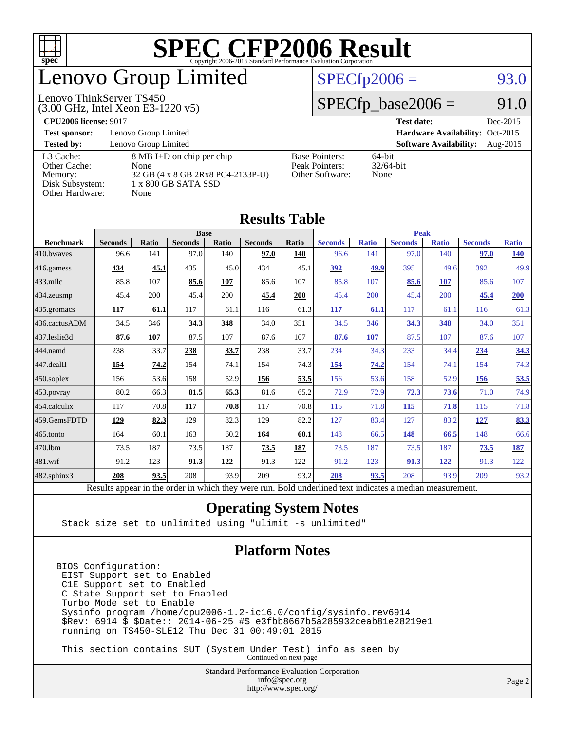

## enovo Group Limited

### $SPECfp2006 = 93.0$  $SPECfp2006 = 93.0$

#### Lenovo ThinkServer TS450

(3.00 GHz, Intel Xeon E3-1220 v5)

 $SPECfp\_base2006 = 91.0$ 

| <b>CPU2006 license: 9017</b> |                                   |                       | <b>Test date:</b><br>Dec-2015             |  |  |  |
|------------------------------|-----------------------------------|-----------------------|-------------------------------------------|--|--|--|
| <b>Test sponsor:</b>         | Lenovo Group Limited              |                       | Hardware Availability: Oct-2015           |  |  |  |
| <b>Tested by:</b>            | Lenovo Group Limited              |                       | <b>Software Availability:</b><br>Aug-2015 |  |  |  |
| L3 Cache:                    | 8 MB I+D on chip per chip         | <b>Base Pointers:</b> | 64-bit                                    |  |  |  |
| Other Cache:                 | None                              | Peak Pointers:        | $32/64$ -bit                              |  |  |  |
| Memory:                      | 32 GB (4 x 8 GB 2Rx8 PC4-2133P-U) | Other Software:       | None                                      |  |  |  |
| Disk Subsystem:              | 1 x 800 GB SATA SSD               |                       |                                           |  |  |  |
| Other Hardware:              | None                              |                       |                                           |  |  |  |

| <b>Results Table</b>                                                                                     |                |              |                |       |                |             |                |              |                |              |                |              |
|----------------------------------------------------------------------------------------------------------|----------------|--------------|----------------|-------|----------------|-------------|----------------|--------------|----------------|--------------|----------------|--------------|
|                                                                                                          | <b>Base</b>    |              |                |       |                | <b>Peak</b> |                |              |                |              |                |              |
| <b>Benchmark</b>                                                                                         | <b>Seconds</b> | <b>Ratio</b> | <b>Seconds</b> | Ratio | <b>Seconds</b> | Ratio       | <b>Seconds</b> | <b>Ratio</b> | <b>Seconds</b> | <b>Ratio</b> | <b>Seconds</b> | <b>Ratio</b> |
| $ 410$ .bwayes                                                                                           | 96.6           | 141          | 97.0           | 140   | 97.0           | 140         | 96.6           | 141          | 97.0           | 140          | 97.0           | <b>140</b>   |
| 416.gamess                                                                                               | 434            | 45.1         | 435            | 45.0  | 434            | 45.1        | 392            | 49.9         | 395            | 49.6         | 392            | 49.9         |
| $433$ .milc                                                                                              | 85.8           | 107          | 85.6           | 107   | 85.6           | 107         | 85.8           | 107          | 85.6           | 107          | 85.6           | 107          |
| $434$ . zeusmp                                                                                           | 45.4           | 200          | 45.4           | 200   | 45.4           | 200         | 45.4           | 200          | 45.4           | 200          | 45.4           | 200          |
| $435.$ gromacs                                                                                           | 117            | 61.1         | 117            | 61.1  | 116            | 61.3        | 117            | 61.1         | 117            | 61.1         | 116            | 61.3         |
| 436.cactusADM                                                                                            | 34.5           | 346          | 34.3           | 348   | 34.0           | 351         | 34.5           | 346          | 34.3           | 348          | 34.0           | 351          |
| 437.leslie3d                                                                                             | 87.6           | 107          | 87.5           | 107   | 87.6           | 107         | 87.6           | 107          | 87.5           | 107          | 87.6           | 107          |
| 444.namd                                                                                                 | 238            | 33.7         | 238            | 33.7  | 238            | 33.7        | 234            | 34.3         | 233            | 34.4         | 234            | 34.3         |
| $ 447 \text{.}$ dealII                                                                                   | 154            | 74.2         | 154            | 74.1  | 154            | 74.3        | 154            | 74.2         | 154            | 74.1         | 154            | 74.3         |
| $450$ .soplex                                                                                            | 156            | 53.6         | 158            | 52.9  | 156            | 53.5        | 156            | 53.6         | 158            | 52.9         | 156            | 53.5         |
| $453$ .povray                                                                                            | 80.2           | 66.3         | 81.5           | 65.3  | 81.6           | 65.2        | 72.9           | 72.9         | 72.3           | 73.6         | 71.0           | 74.9         |
| $ 454$ .calculix                                                                                         | 117            | 70.8         | 117            | 70.8  | 117            | 70.8        | 115            | 71.8         | 115            | 71.8         | 115            | 71.8         |
| 459.GemsFDTD                                                                                             | 129            | 82.3         | 129            | 82.3  | 129            | 82.2        | 127            | 83.4         | 127            | 83.2         | 127            | 83.3         |
| $465$ .tonto                                                                                             | 164            | 60.1         | 163            | 60.2  | 164            | 60.1        | 148            | 66.5         | 148            | 66.5         | 148            | 66.6         |
| 470.1bm                                                                                                  | 73.5           | 187          | 73.5           | 187   | 73.5           | 187         | 73.5           | 187          | 73.5           | 187          | 73.5           | <b>187</b>   |
| 481.wrf                                                                                                  | 91.2           | 123          | 91.3           | 122   | 91.3           | 122         | 91.2           | 123          | 91.3           | 122          | 91.3           | 122          |
| $482$ .sphinx $3$                                                                                        | 208            | 93.5         | 208            | 93.9  | 209            | 93.2        | 208            | 93.5         | 208            | 93.9         | 209            | 93.2         |
| Results appear in the order in which they were run. Bold underlined text indicates a median measurement. |                |              |                |       |                |             |                |              |                |              |                |              |

#### **[Operating System Notes](http://www.spec.org/auto/cpu2006/Docs/result-fields.html#OperatingSystemNotes)**

Stack size set to unlimited using "ulimit -s unlimited"

#### **[Platform Notes](http://www.spec.org/auto/cpu2006/Docs/result-fields.html#PlatformNotes)**

BIOS Configuration: EIST Support set to Enabled C1E Support set to Enabled C State Support set to Enabled Turbo Mode set to Enable Sysinfo program /home/cpu2006-1.2-ic16.0/config/sysinfo.rev6914 \$Rev: 6914 \$ \$Date:: 2014-06-25 #\$ e3fbb8667b5a285932ceab81e28219e1 running on TS450-SLE12 Thu Dec 31 00:49:01 2015

 This section contains SUT (System Under Test) info as seen by Continued on next page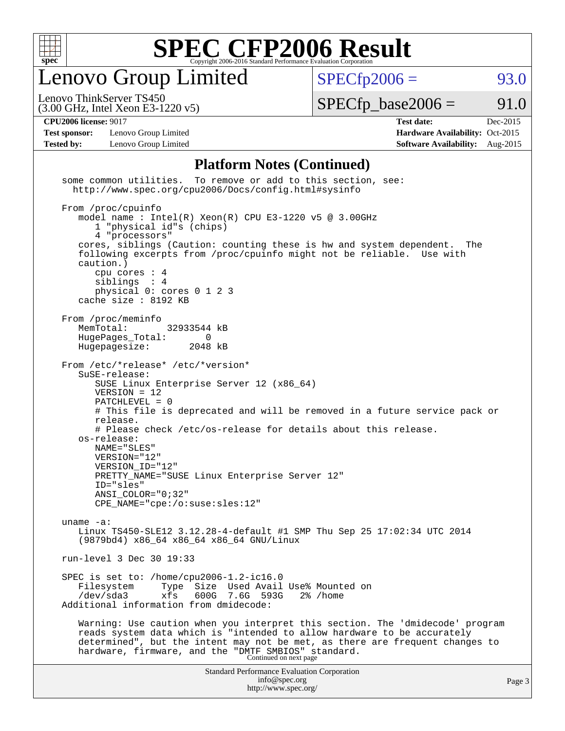

Lenovo Group Limited

 $SPECfp2006 = 93.0$  $SPECfp2006 = 93.0$ 

(3.00 GHz, Intel Xeon E3-1220 v5) Lenovo ThinkServer TS450

 $SPECTp\_base2006 = 91.0$ 

**[Test sponsor:](http://www.spec.org/auto/cpu2006/Docs/result-fields.html#Testsponsor)** Lenovo Group Limited **[Hardware Availability:](http://www.spec.org/auto/cpu2006/Docs/result-fields.html#HardwareAvailability)** Oct-2015

**[CPU2006 license:](http://www.spec.org/auto/cpu2006/Docs/result-fields.html#CPU2006license)** 9017 **[Test date:](http://www.spec.org/auto/cpu2006/Docs/result-fields.html#Testdate)** Dec-2015 **[Tested by:](http://www.spec.org/auto/cpu2006/Docs/result-fields.html#Testedby)** Lenovo Group Limited **[Software Availability:](http://www.spec.org/auto/cpu2006/Docs/result-fields.html#SoftwareAvailability)** Aug-2015

#### **[Platform Notes \(Continued\)](http://www.spec.org/auto/cpu2006/Docs/result-fields.html#PlatformNotes)**

Standard Performance Evaluation Corporation [info@spec.org](mailto:info@spec.org) <http://www.spec.org/> Page 3 some common utilities. To remove or add to this section, see: <http://www.spec.org/cpu2006/Docs/config.html#sysinfo> From /proc/cpuinfo model name : Intel(R) Xeon(R) CPU E3-1220 v5 @ 3.00GHz 1 "physical id"s (chips) 4 "processors" cores, siblings (Caution: counting these is hw and system dependent. The following excerpts from /proc/cpuinfo might not be reliable. Use with caution.) cpu cores : 4 siblings : 4 physical 0: cores 0 1 2 3 cache size : 8192 KB From /proc/meminfo<br>MemTotal: 32933544 kB HugePages\_Total: 0<br>Hugepagesize: 2048 kB Hugepagesize: From /etc/\*release\* /etc/\*version\* SuSE-release: SUSE Linux Enterprise Server 12 (x86\_64) VERSION = 12 PATCHLEVEL = 0 # This file is deprecated and will be removed in a future service pack or release. # Please check /etc/os-release for details about this release. os-release: NAME="SLES" VERSION="12" VERSION\_ID="12" PRETTY\_NAME="SUSE Linux Enterprise Server 12" ID="sles" ANSI\_COLOR="0;32" CPE\_NAME="cpe:/o:suse:sles:12" uname -a: Linux TS450-SLE12 3.12.28-4-default #1 SMP Thu Sep 25 17:02:34 UTC 2014 (9879bd4) x86\_64 x86\_64 x86\_64 GNU/Linux run-level 3 Dec 30 19:33 SPEC is set to: /home/cpu2006-1.2-ic16.0 Filesystem Type Size Used Avail Use% Mounted on /dev/sda3 xfs 600G 7.6G 593G 2% /home Additional information from dmidecode: Warning: Use caution when you interpret this section. The 'dmidecode' program reads system data which is "intended to allow hardware to be accurately determined", but the intent may not be met, as there are frequent changes to hardware, firmware, and the "DMTF SMBIOS" standard.<br>Continued on next page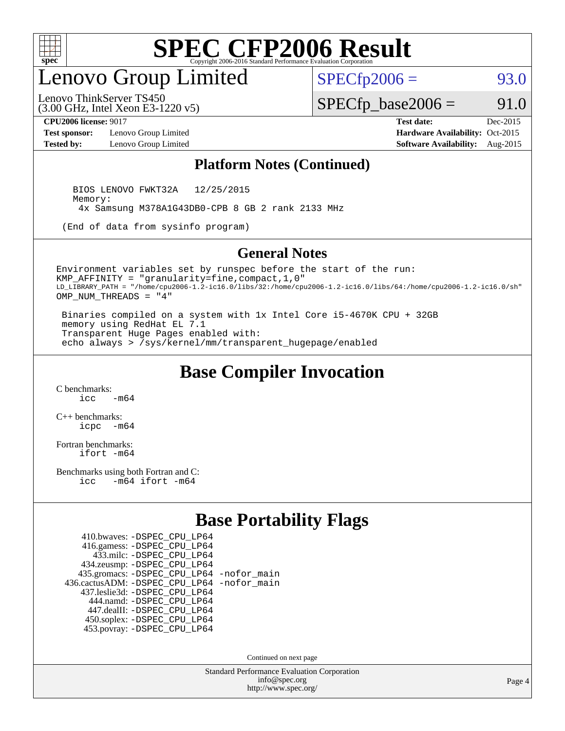

## enovo Group Limited

 $SPECTp2006 = 93.0$ 

(3.00 GHz, Intel Xeon E3-1220 v5) Lenovo ThinkServer TS450

 $SPECfp\_base2006 = 91.0$ 

**[Test sponsor:](http://www.spec.org/auto/cpu2006/Docs/result-fields.html#Testsponsor)** Lenovo Group Limited **[Hardware Availability:](http://www.spec.org/auto/cpu2006/Docs/result-fields.html#HardwareAvailability)** Oct-2015

**[CPU2006 license:](http://www.spec.org/auto/cpu2006/Docs/result-fields.html#CPU2006license)** 9017 **[Test date:](http://www.spec.org/auto/cpu2006/Docs/result-fields.html#Testdate)** Dec-2015 **[Tested by:](http://www.spec.org/auto/cpu2006/Docs/result-fields.html#Testedby)** Lenovo Group Limited **[Software Availability:](http://www.spec.org/auto/cpu2006/Docs/result-fields.html#SoftwareAvailability)** Aug-2015

#### **[Platform Notes \(Continued\)](http://www.spec.org/auto/cpu2006/Docs/result-fields.html#PlatformNotes)**

 BIOS LENOVO FWKT32A 12/25/2015 Memory: 4x Samsung M378A1G43DB0-CPB 8 GB 2 rank 2133 MHz

(End of data from sysinfo program)

#### **[General Notes](http://www.spec.org/auto/cpu2006/Docs/result-fields.html#GeneralNotes)**

Environment variables set by runspec before the start of the run: KMP\_AFFINITY = "granularity=fine,compact,1,0" LD\_LIBRARY\_PATH = "/home/cpu2006-1.2-ic16.0/libs/32:/home/cpu2006-1.2-ic16.0/libs/64:/home/cpu2006-1.2-ic16.0/sh" OMP\_NUM\_THREADS = "4"

 Binaries compiled on a system with 1x Intel Core i5-4670K CPU + 32GB memory using RedHat EL 7.1 Transparent Huge Pages enabled with: echo always > /sys/kernel/mm/transparent\_hugepage/enabled

### **[Base Compiler Invocation](http://www.spec.org/auto/cpu2006/Docs/result-fields.html#BaseCompilerInvocation)**

[C benchmarks](http://www.spec.org/auto/cpu2006/Docs/result-fields.html#Cbenchmarks):  $\frac{1}{2}$   $\mathrm{c}$   $\mathrm{c}$   $\frac{1}{2}$   $\mathrm{m}$   $\mathrm{6}$   $\mathrm{4}$ 

[C++ benchmarks:](http://www.spec.org/auto/cpu2006/Docs/result-fields.html#CXXbenchmarks) [icpc -m64](http://www.spec.org/cpu2006/results/res2016q1/cpu2006-20160125-38885.flags.html#user_CXXbase_intel_icpc_64bit_bedb90c1146cab66620883ef4f41a67e)

[Fortran benchmarks](http://www.spec.org/auto/cpu2006/Docs/result-fields.html#Fortranbenchmarks): [ifort -m64](http://www.spec.org/cpu2006/results/res2016q1/cpu2006-20160125-38885.flags.html#user_FCbase_intel_ifort_64bit_ee9d0fb25645d0210d97eb0527dcc06e)

[Benchmarks using both Fortran and C](http://www.spec.org/auto/cpu2006/Docs/result-fields.html#BenchmarksusingbothFortranandC): [icc -m64](http://www.spec.org/cpu2006/results/res2016q1/cpu2006-20160125-38885.flags.html#user_CC_FCbase_intel_icc_64bit_0b7121f5ab7cfabee23d88897260401c) [ifort -m64](http://www.spec.org/cpu2006/results/res2016q1/cpu2006-20160125-38885.flags.html#user_CC_FCbase_intel_ifort_64bit_ee9d0fb25645d0210d97eb0527dcc06e)

#### **[Base Portability Flags](http://www.spec.org/auto/cpu2006/Docs/result-fields.html#BasePortabilityFlags)**

| 410.bwaves: - DSPEC CPU LP64                 |  |
|----------------------------------------------|--|
| 416.gamess: -DSPEC_CPU_LP64                  |  |
| 433.milc: - DSPEC_CPU LP64                   |  |
| 434.zeusmp: -DSPEC_CPU_LP64                  |  |
| 435.gromacs: -DSPEC_CPU_LP64 -nofor_main     |  |
| 436.cactusADM: - DSPEC CPU LP64 - nofor main |  |
| 437.leslie3d: -DSPEC CPU LP64                |  |
| 444.namd: - DSPEC_CPU_LP64                   |  |
| 447.dealII: -DSPEC CPU LP64                  |  |
| 450.soplex: -DSPEC_CPU_LP64                  |  |
| 453.povray: -DSPEC CPU LP64                  |  |

Continued on next page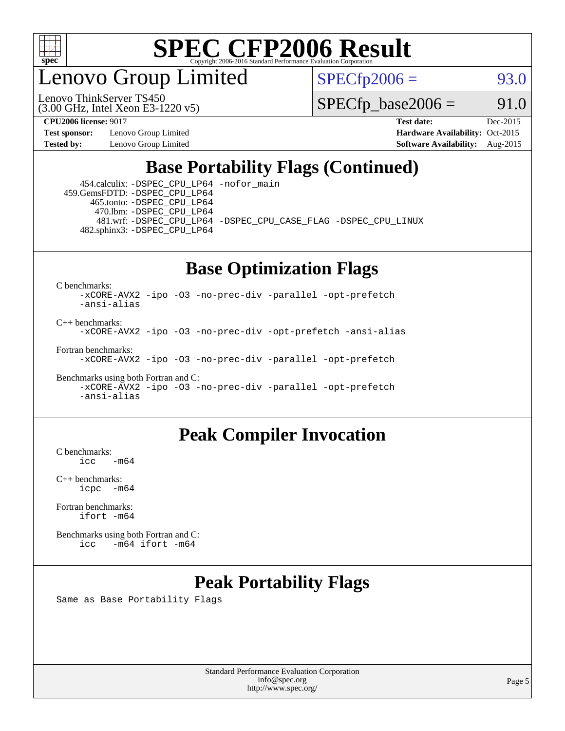

enovo Group Limited

Lenovo ThinkServer TS450

 $SPECTp2006 = 93.0$ 

 $SPECTp\_base2006 = 91.0$ 

**[Test sponsor:](http://www.spec.org/auto/cpu2006/Docs/result-fields.html#Testsponsor)** Lenovo Group Limited **[Hardware Availability:](http://www.spec.org/auto/cpu2006/Docs/result-fields.html#HardwareAvailability)** Oct-2015

(3.00 GHz, Intel Xeon E3-1220 v5)

**[CPU2006 license:](http://www.spec.org/auto/cpu2006/Docs/result-fields.html#CPU2006license)** 9017 **[Test date:](http://www.spec.org/auto/cpu2006/Docs/result-fields.html#Testdate)** Dec-2015 **[Tested by:](http://www.spec.org/auto/cpu2006/Docs/result-fields.html#Testedby)** Lenovo Group Limited **[Software Availability:](http://www.spec.org/auto/cpu2006/Docs/result-fields.html#SoftwareAvailability)** Aug-2015

### **[Base Portability Flags \(Continued\)](http://www.spec.org/auto/cpu2006/Docs/result-fields.html#BasePortabilityFlags)**

 454.calculix: [-DSPEC\\_CPU\\_LP64](http://www.spec.org/cpu2006/results/res2016q1/cpu2006-20160125-38885.flags.html#suite_basePORTABILITY454_calculix_DSPEC_CPU_LP64) [-nofor\\_main](http://www.spec.org/cpu2006/results/res2016q1/cpu2006-20160125-38885.flags.html#user_baseLDPORTABILITY454_calculix_f-nofor_main) 459.GemsFDTD: [-DSPEC\\_CPU\\_LP64](http://www.spec.org/cpu2006/results/res2016q1/cpu2006-20160125-38885.flags.html#suite_basePORTABILITY459_GemsFDTD_DSPEC_CPU_LP64) 465.tonto: [-DSPEC\\_CPU\\_LP64](http://www.spec.org/cpu2006/results/res2016q1/cpu2006-20160125-38885.flags.html#suite_basePORTABILITY465_tonto_DSPEC_CPU_LP64) 470.lbm: [-DSPEC\\_CPU\\_LP64](http://www.spec.org/cpu2006/results/res2016q1/cpu2006-20160125-38885.flags.html#suite_basePORTABILITY470_lbm_DSPEC_CPU_LP64) 481.wrf: [-DSPEC\\_CPU\\_LP64](http://www.spec.org/cpu2006/results/res2016q1/cpu2006-20160125-38885.flags.html#suite_basePORTABILITY481_wrf_DSPEC_CPU_LP64) [-DSPEC\\_CPU\\_CASE\\_FLAG](http://www.spec.org/cpu2006/results/res2016q1/cpu2006-20160125-38885.flags.html#b481.wrf_baseCPORTABILITY_DSPEC_CPU_CASE_FLAG) [-DSPEC\\_CPU\\_LINUX](http://www.spec.org/cpu2006/results/res2016q1/cpu2006-20160125-38885.flags.html#b481.wrf_baseCPORTABILITY_DSPEC_CPU_LINUX) 482.sphinx3: [-DSPEC\\_CPU\\_LP64](http://www.spec.org/cpu2006/results/res2016q1/cpu2006-20160125-38885.flags.html#suite_basePORTABILITY482_sphinx3_DSPEC_CPU_LP64)

## **[Base Optimization Flags](http://www.spec.org/auto/cpu2006/Docs/result-fields.html#BaseOptimizationFlags)**

[C benchmarks](http://www.spec.org/auto/cpu2006/Docs/result-fields.html#Cbenchmarks):

[-xCORE-AVX2](http://www.spec.org/cpu2006/results/res2016q1/cpu2006-20160125-38885.flags.html#user_CCbase_f-xAVX2_5f5fc0cbe2c9f62c816d3e45806c70d7) [-ipo](http://www.spec.org/cpu2006/results/res2016q1/cpu2006-20160125-38885.flags.html#user_CCbase_f-ipo) [-O3](http://www.spec.org/cpu2006/results/res2016q1/cpu2006-20160125-38885.flags.html#user_CCbase_f-O3) [-no-prec-div](http://www.spec.org/cpu2006/results/res2016q1/cpu2006-20160125-38885.flags.html#user_CCbase_f-no-prec-div) [-parallel](http://www.spec.org/cpu2006/results/res2016q1/cpu2006-20160125-38885.flags.html#user_CCbase_f-parallel) [-opt-prefetch](http://www.spec.org/cpu2006/results/res2016q1/cpu2006-20160125-38885.flags.html#user_CCbase_f-opt-prefetch) [-ansi-alias](http://www.spec.org/cpu2006/results/res2016q1/cpu2006-20160125-38885.flags.html#user_CCbase_f-ansi-alias)

[C++ benchmarks:](http://www.spec.org/auto/cpu2006/Docs/result-fields.html#CXXbenchmarks) [-xCORE-AVX2](http://www.spec.org/cpu2006/results/res2016q1/cpu2006-20160125-38885.flags.html#user_CXXbase_f-xAVX2_5f5fc0cbe2c9f62c816d3e45806c70d7) [-ipo](http://www.spec.org/cpu2006/results/res2016q1/cpu2006-20160125-38885.flags.html#user_CXXbase_f-ipo) [-O3](http://www.spec.org/cpu2006/results/res2016q1/cpu2006-20160125-38885.flags.html#user_CXXbase_f-O3) [-no-prec-div](http://www.spec.org/cpu2006/results/res2016q1/cpu2006-20160125-38885.flags.html#user_CXXbase_f-no-prec-div) [-opt-prefetch](http://www.spec.org/cpu2006/results/res2016q1/cpu2006-20160125-38885.flags.html#user_CXXbase_f-opt-prefetch) [-ansi-alias](http://www.spec.org/cpu2006/results/res2016q1/cpu2006-20160125-38885.flags.html#user_CXXbase_f-ansi-alias)

[Fortran benchmarks](http://www.spec.org/auto/cpu2006/Docs/result-fields.html#Fortranbenchmarks): [-xCORE-AVX2](http://www.spec.org/cpu2006/results/res2016q1/cpu2006-20160125-38885.flags.html#user_FCbase_f-xAVX2_5f5fc0cbe2c9f62c816d3e45806c70d7) [-ipo](http://www.spec.org/cpu2006/results/res2016q1/cpu2006-20160125-38885.flags.html#user_FCbase_f-ipo) [-O3](http://www.spec.org/cpu2006/results/res2016q1/cpu2006-20160125-38885.flags.html#user_FCbase_f-O3) [-no-prec-div](http://www.spec.org/cpu2006/results/res2016q1/cpu2006-20160125-38885.flags.html#user_FCbase_f-no-prec-div) [-parallel](http://www.spec.org/cpu2006/results/res2016q1/cpu2006-20160125-38885.flags.html#user_FCbase_f-parallel) [-opt-prefetch](http://www.spec.org/cpu2006/results/res2016q1/cpu2006-20160125-38885.flags.html#user_FCbase_f-opt-prefetch)

[Benchmarks using both Fortran and C](http://www.spec.org/auto/cpu2006/Docs/result-fields.html#BenchmarksusingbothFortranandC): [-xCORE-AVX2](http://www.spec.org/cpu2006/results/res2016q1/cpu2006-20160125-38885.flags.html#user_CC_FCbase_f-xAVX2_5f5fc0cbe2c9f62c816d3e45806c70d7) [-ipo](http://www.spec.org/cpu2006/results/res2016q1/cpu2006-20160125-38885.flags.html#user_CC_FCbase_f-ipo) [-O3](http://www.spec.org/cpu2006/results/res2016q1/cpu2006-20160125-38885.flags.html#user_CC_FCbase_f-O3) [-no-prec-div](http://www.spec.org/cpu2006/results/res2016q1/cpu2006-20160125-38885.flags.html#user_CC_FCbase_f-no-prec-div) [-parallel](http://www.spec.org/cpu2006/results/res2016q1/cpu2006-20160125-38885.flags.html#user_CC_FCbase_f-parallel) [-opt-prefetch](http://www.spec.org/cpu2006/results/res2016q1/cpu2006-20160125-38885.flags.html#user_CC_FCbase_f-opt-prefetch) [-ansi-alias](http://www.spec.org/cpu2006/results/res2016q1/cpu2006-20160125-38885.flags.html#user_CC_FCbase_f-ansi-alias)

#### **[Peak Compiler Invocation](http://www.spec.org/auto/cpu2006/Docs/result-fields.html#PeakCompilerInvocation)**

 $C$  benchmarks:<br>icc  $-m64$ 

[C++ benchmarks:](http://www.spec.org/auto/cpu2006/Docs/result-fields.html#CXXbenchmarks) [icpc -m64](http://www.spec.org/cpu2006/results/res2016q1/cpu2006-20160125-38885.flags.html#user_CXXpeak_intel_icpc_64bit_bedb90c1146cab66620883ef4f41a67e)

[Fortran benchmarks](http://www.spec.org/auto/cpu2006/Docs/result-fields.html#Fortranbenchmarks): [ifort -m64](http://www.spec.org/cpu2006/results/res2016q1/cpu2006-20160125-38885.flags.html#user_FCpeak_intel_ifort_64bit_ee9d0fb25645d0210d97eb0527dcc06e)

[Benchmarks using both Fortran and C](http://www.spec.org/auto/cpu2006/Docs/result-fields.html#BenchmarksusingbothFortranandC): [icc -m64](http://www.spec.org/cpu2006/results/res2016q1/cpu2006-20160125-38885.flags.html#user_CC_FCpeak_intel_icc_64bit_0b7121f5ab7cfabee23d88897260401c) [ifort -m64](http://www.spec.org/cpu2006/results/res2016q1/cpu2006-20160125-38885.flags.html#user_CC_FCpeak_intel_ifort_64bit_ee9d0fb25645d0210d97eb0527dcc06e)

### **[Peak Portability Flags](http://www.spec.org/auto/cpu2006/Docs/result-fields.html#PeakPortabilityFlags)**

Same as Base Portability Flags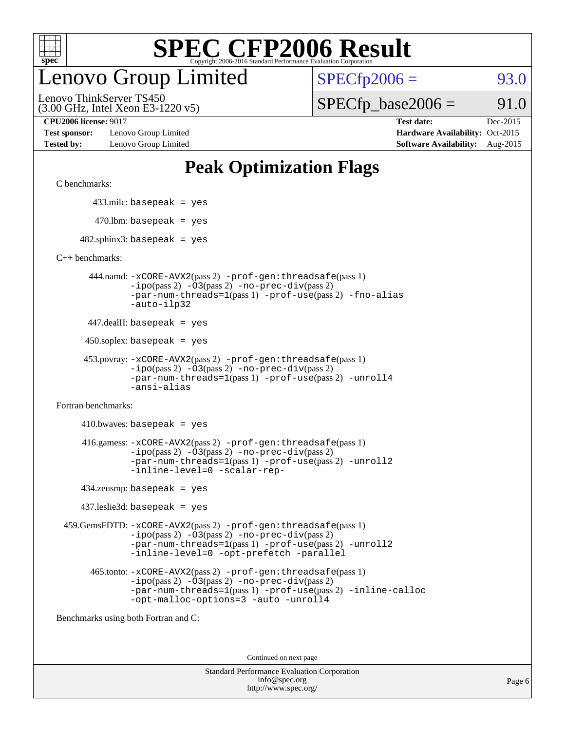

## enovo Group Limited

 $SPECfp2006 = 93.0$  $SPECfp2006 = 93.0$ 

(3.00 GHz, Intel Xeon E3-1220 v5) Lenovo ThinkServer TS450

 $SPECTp\_base2006 = 91.0$ 

**[Test sponsor:](http://www.spec.org/auto/cpu2006/Docs/result-fields.html#Testsponsor)** Lenovo Group Limited **[Hardware Availability:](http://www.spec.org/auto/cpu2006/Docs/result-fields.html#HardwareAvailability)** Oct-2015

**[CPU2006 license:](http://www.spec.org/auto/cpu2006/Docs/result-fields.html#CPU2006license)** 9017 **[Test date:](http://www.spec.org/auto/cpu2006/Docs/result-fields.html#Testdate)** Dec-2015 **[Tested by:](http://www.spec.org/auto/cpu2006/Docs/result-fields.html#Testedby)** Lenovo Group Limited **[Software Availability:](http://www.spec.org/auto/cpu2006/Docs/result-fields.html#SoftwareAvailability)** Aug-2015

## **[Peak Optimization Flags](http://www.spec.org/auto/cpu2006/Docs/result-fields.html#PeakOptimizationFlags)**

[C benchmarks](http://www.spec.org/auto/cpu2006/Docs/result-fields.html#Cbenchmarks):

433.milc: basepeak = yes

 $470.$ lbm: basepeak = yes

 $482$ .sphinx3: basepeak = yes

[C++ benchmarks:](http://www.spec.org/auto/cpu2006/Docs/result-fields.html#CXXbenchmarks)

 444.namd: [-xCORE-AVX2](http://www.spec.org/cpu2006/results/res2016q1/cpu2006-20160125-38885.flags.html#user_peakPASS2_CXXFLAGSPASS2_LDFLAGS444_namd_f-xAVX2_5f5fc0cbe2c9f62c816d3e45806c70d7)(pass 2) [-prof-gen:threadsafe](http://www.spec.org/cpu2006/results/res2016q1/cpu2006-20160125-38885.flags.html#user_peakPASS1_CXXFLAGSPASS1_LDFLAGS444_namd_prof_gen_21a26eb79f378b550acd7bec9fe4467a)(pass 1) [-ipo](http://www.spec.org/cpu2006/results/res2016q1/cpu2006-20160125-38885.flags.html#user_peakPASS2_CXXFLAGSPASS2_LDFLAGS444_namd_f-ipo)(pass 2) [-O3](http://www.spec.org/cpu2006/results/res2016q1/cpu2006-20160125-38885.flags.html#user_peakPASS2_CXXFLAGSPASS2_LDFLAGS444_namd_f-O3)(pass 2) [-no-prec-div](http://www.spec.org/cpu2006/results/res2016q1/cpu2006-20160125-38885.flags.html#user_peakPASS2_CXXFLAGSPASS2_LDFLAGS444_namd_f-no-prec-div)(pass 2) [-par-num-threads=1](http://www.spec.org/cpu2006/results/res2016q1/cpu2006-20160125-38885.flags.html#user_peakPASS1_CXXFLAGSPASS1_LDFLAGS444_namd_par_num_threads_786a6ff141b4e9e90432e998842df6c2)(pass 1) [-prof-use](http://www.spec.org/cpu2006/results/res2016q1/cpu2006-20160125-38885.flags.html#user_peakPASS2_CXXFLAGSPASS2_LDFLAGS444_namd_prof_use_bccf7792157ff70d64e32fe3e1250b55)(pass 2) [-fno-alias](http://www.spec.org/cpu2006/results/res2016q1/cpu2006-20160125-38885.flags.html#user_peakCXXOPTIMIZEOPTIMIZE444_namd_f-no-alias_694e77f6c5a51e658e82ccff53a9e63a) [-auto-ilp32](http://www.spec.org/cpu2006/results/res2016q1/cpu2006-20160125-38885.flags.html#user_peakCXXOPTIMIZE444_namd_f-auto-ilp32)

447.dealII: basepeak = yes

450.soplex: basepeak = yes

```
 453.povray: -xCORE-AVX2(pass 2) -prof-gen:threadsafe(pass 1)
-ipo(pass 2) -O3(pass 2) -no-prec-div(pass 2)
-par-num-threads=1(pass 1) -prof-use(pass 2) -unroll4
-ansi-alias
```
[Fortran benchmarks](http://www.spec.org/auto/cpu2006/Docs/result-fields.html#Fortranbenchmarks):

 $410.bwaves: basepeak = yes$  416.gamess: [-xCORE-AVX2](http://www.spec.org/cpu2006/results/res2016q1/cpu2006-20160125-38885.flags.html#user_peakPASS2_FFLAGSPASS2_LDFLAGS416_gamess_f-xAVX2_5f5fc0cbe2c9f62c816d3e45806c70d7)(pass 2) [-prof-gen:threadsafe](http://www.spec.org/cpu2006/results/res2016q1/cpu2006-20160125-38885.flags.html#user_peakPASS1_FFLAGSPASS1_LDFLAGS416_gamess_prof_gen_21a26eb79f378b550acd7bec9fe4467a)(pass 1)  $-i\text{po}(pass 2) -\text{O3}(pass 2)$  [-no-prec-div](http://www.spec.org/cpu2006/results/res2016q1/cpu2006-20160125-38885.flags.html#user_peakPASS2_FFLAGSPASS2_LDFLAGS416_gamess_f-no-prec-div)(pass 2) [-par-num-threads=1](http://www.spec.org/cpu2006/results/res2016q1/cpu2006-20160125-38885.flags.html#user_peakPASS1_FFLAGSPASS1_LDFLAGS416_gamess_par_num_threads_786a6ff141b4e9e90432e998842df6c2)(pass 1) [-prof-use](http://www.spec.org/cpu2006/results/res2016q1/cpu2006-20160125-38885.flags.html#user_peakPASS2_FFLAGSPASS2_LDFLAGS416_gamess_prof_use_bccf7792157ff70d64e32fe3e1250b55)(pass 2) [-unroll2](http://www.spec.org/cpu2006/results/res2016q1/cpu2006-20160125-38885.flags.html#user_peakOPTIMIZE416_gamess_f-unroll_784dae83bebfb236979b41d2422d7ec2) [-inline-level=0](http://www.spec.org/cpu2006/results/res2016q1/cpu2006-20160125-38885.flags.html#user_peakOPTIMIZE416_gamess_f-inline-level_318d07a09274ad25e8d15dbfaa68ba50) [-scalar-rep-](http://www.spec.org/cpu2006/results/res2016q1/cpu2006-20160125-38885.flags.html#user_peakOPTIMIZE416_gamess_f-disablescalarrep_abbcad04450fb118e4809c81d83c8a1d)

434.zeusmp: basepeak = yes

437.leslie3d: basepeak = yes

 459.GemsFDTD: [-xCORE-AVX2](http://www.spec.org/cpu2006/results/res2016q1/cpu2006-20160125-38885.flags.html#user_peakPASS2_FFLAGSPASS2_LDFLAGS459_GemsFDTD_f-xAVX2_5f5fc0cbe2c9f62c816d3e45806c70d7)(pass 2) [-prof-gen:threadsafe](http://www.spec.org/cpu2006/results/res2016q1/cpu2006-20160125-38885.flags.html#user_peakPASS1_FFLAGSPASS1_LDFLAGS459_GemsFDTD_prof_gen_21a26eb79f378b550acd7bec9fe4467a)(pass 1)  $-i\text{po}(pass 2) -03(pass 2) -no-prec-div(pass 2)$  $-i\text{po}(pass 2) -03(pass 2) -no-prec-div(pass 2)$  $-i\text{po}(pass 2) -03(pass 2) -no-prec-div(pass 2)$ [-par-num-threads=1](http://www.spec.org/cpu2006/results/res2016q1/cpu2006-20160125-38885.flags.html#user_peakPASS1_FFLAGSPASS1_LDFLAGS459_GemsFDTD_par_num_threads_786a6ff141b4e9e90432e998842df6c2)(pass 1) [-prof-use](http://www.spec.org/cpu2006/results/res2016q1/cpu2006-20160125-38885.flags.html#user_peakPASS2_FFLAGSPASS2_LDFLAGS459_GemsFDTD_prof_use_bccf7792157ff70d64e32fe3e1250b55)(pass 2) [-unroll2](http://www.spec.org/cpu2006/results/res2016q1/cpu2006-20160125-38885.flags.html#user_peakOPTIMIZE459_GemsFDTD_f-unroll_784dae83bebfb236979b41d2422d7ec2) [-inline-level=0](http://www.spec.org/cpu2006/results/res2016q1/cpu2006-20160125-38885.flags.html#user_peakOPTIMIZE459_GemsFDTD_f-inline-level_318d07a09274ad25e8d15dbfaa68ba50) [-opt-prefetch](http://www.spec.org/cpu2006/results/res2016q1/cpu2006-20160125-38885.flags.html#user_peakOPTIMIZE459_GemsFDTD_f-opt-prefetch) [-parallel](http://www.spec.org/cpu2006/results/res2016q1/cpu2006-20160125-38885.flags.html#user_peakOPTIMIZE459_GemsFDTD_f-parallel)

 465.tonto: [-xCORE-AVX2](http://www.spec.org/cpu2006/results/res2016q1/cpu2006-20160125-38885.flags.html#user_peakPASS2_FFLAGSPASS2_LDFLAGS465_tonto_f-xAVX2_5f5fc0cbe2c9f62c816d3e45806c70d7)(pass 2) [-prof-gen:threadsafe](http://www.spec.org/cpu2006/results/res2016q1/cpu2006-20160125-38885.flags.html#user_peakPASS1_FFLAGSPASS1_LDFLAGS465_tonto_prof_gen_21a26eb79f378b550acd7bec9fe4467a)(pass 1)  $-i\text{po}(pass 2)$   $-03(pass 2)$   $-no-prec-div(pass 2)$  $-no-prec-div(pass 2)$ [-par-num-threads=1](http://www.spec.org/cpu2006/results/res2016q1/cpu2006-20160125-38885.flags.html#user_peakPASS1_FFLAGSPASS1_LDFLAGS465_tonto_par_num_threads_786a6ff141b4e9e90432e998842df6c2)(pass 1) [-prof-use](http://www.spec.org/cpu2006/results/res2016q1/cpu2006-20160125-38885.flags.html#user_peakPASS2_FFLAGSPASS2_LDFLAGS465_tonto_prof_use_bccf7792157ff70d64e32fe3e1250b55)(pass 2) [-inline-calloc](http://www.spec.org/cpu2006/results/res2016q1/cpu2006-20160125-38885.flags.html#user_peakOPTIMIZE465_tonto_f-inline-calloc) [-opt-malloc-options=3](http://www.spec.org/cpu2006/results/res2016q1/cpu2006-20160125-38885.flags.html#user_peakOPTIMIZE465_tonto_f-opt-malloc-options_13ab9b803cf986b4ee62f0a5998c2238) [-auto](http://www.spec.org/cpu2006/results/res2016q1/cpu2006-20160125-38885.flags.html#user_peakOPTIMIZE465_tonto_f-auto) [-unroll4](http://www.spec.org/cpu2006/results/res2016q1/cpu2006-20160125-38885.flags.html#user_peakOPTIMIZE465_tonto_f-unroll_4e5e4ed65b7fd20bdcd365bec371b81f)

[Benchmarks using both Fortran and C](http://www.spec.org/auto/cpu2006/Docs/result-fields.html#BenchmarksusingbothFortranandC):

Continued on next page